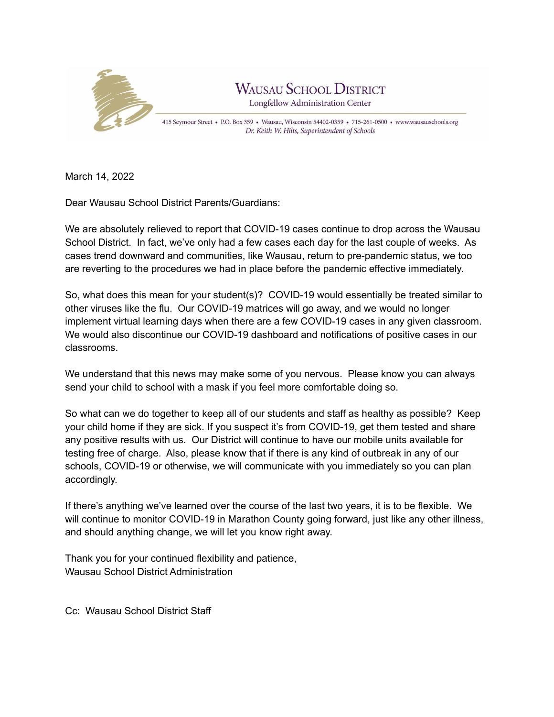

March 14, 2022

Dear Wausau School District Parents/Guardians:

We are absolutely relieved to report that COVID-19 cases continue to drop across the Wausau School District. In fact, we've only had a few cases each day for the last couple of weeks. As cases trend downward and communities, like Wausau, return to pre-pandemic status, we too are reverting to the procedures we had in place before the pandemic effective immediately.

So, what does this mean for your student(s)? COVID-19 would essentially be treated similar to other viruses like the flu. Our COVID-19 matrices will go away, and we would no longer implement virtual learning days when there are a few COVID-19 cases in any given classroom. We would also discontinue our COVID-19 dashboard and notifications of positive cases in our classrooms.

We understand that this news may make some of you nervous. Please know you can always send your child to school with a mask if you feel more comfortable doing so.

So what can we do together to keep all of our students and staff as healthy as possible? Keep your child home if they are sick. If you suspect it's from COVID-19, get them tested and share any positive results with us. Our District will continue to have our mobile units available for testing free of charge. Also, please know that if there is any kind of outbreak in any of our schools, COVID-19 or otherwise, we will communicate with you immediately so you can plan accordingly.

If there's anything we've learned over the course of the last two years, it is to be flexible. We will continue to monitor COVID-19 in Marathon County going forward, just like any other illness, and should anything change, we will let you know right away.

Thank you for your continued flexibility and patience, Wausau School District Administration

Cc: Wausau School District Staff